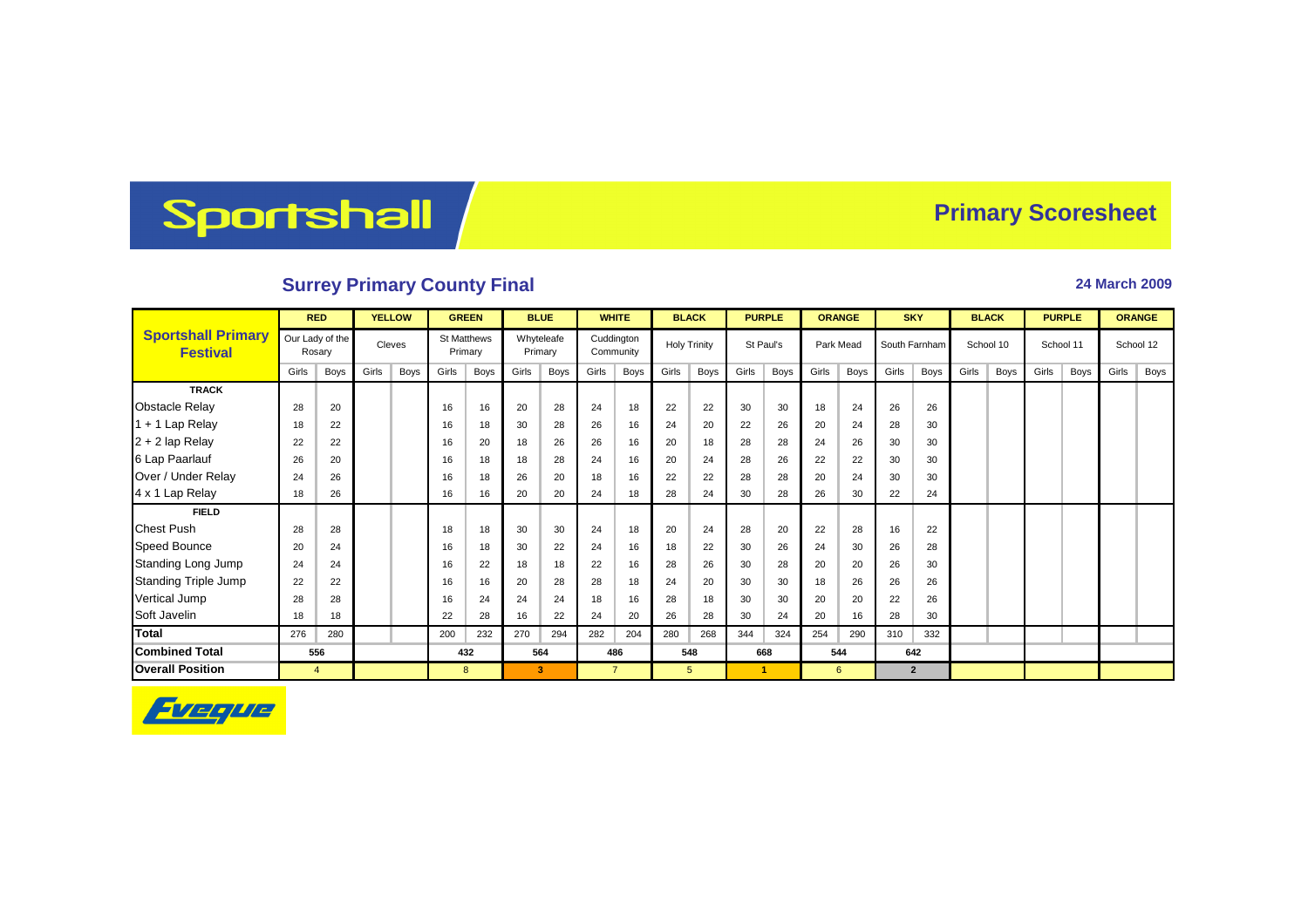## Sportshall

## **Primary Scoresheet**

## **Surrey Primary County Final 24 March 2009 24 March 2009**

|                                              | <b>RED</b>                |      | <b>YELLOW</b> |             | <b>GREEN</b>                  |             | <b>BLUE</b>           |      | <b>WHITE</b>            |                | <b>BLACK</b>        |      | <b>PURPLE</b> |      | <b>ORANGE</b> |      | <b>SKY</b>    |                | <b>BLACK</b> |      | <b>PURPLE</b> |      | <b>ORANGE</b> |           |
|----------------------------------------------|---------------------------|------|---------------|-------------|-------------------------------|-------------|-----------------------|------|-------------------------|----------------|---------------------|------|---------------|------|---------------|------|---------------|----------------|--------------|------|---------------|------|---------------|-----------|
| <b>Sportshall Primary</b><br><b>Festival</b> | Our Lady of the<br>Rosary |      | Cleves        |             | <b>St Matthews</b><br>Primary |             | Whyteleafe<br>Primary |      | Cuddington<br>Community |                | <b>Holy Trinity</b> |      | St Paul's     |      | Park Mead     |      | South Farnham |                | School 10    |      | School 11     |      |               | School 12 |
|                                              | Girls                     | Boys | Girls         | <b>Boys</b> | Girls                         | <b>Boys</b> | Girls                 | Boys | Girls                   | Boys           | Girls               | Boys | Girls         | Boys | Girls         | Boys | Girls         | Boys           | Girls        | Boys | Girls         | Boys | Girls         | Boys      |
| <b>TRACK</b>                                 |                           |      |               |             |                               |             |                       |      |                         |                |                     |      |               |      |               |      |               |                |              |      |               |      |               |           |
| <b>Obstacle Relay</b>                        | 28                        | 20   |               |             | 16                            | 16          | 20                    | 28   | 24                      | 18             | 22                  | 22   | 30            | 30   | 18            | 24   | 26            | 26             |              |      |               |      |               |           |
| 1 + 1 Lap Relay                              | 18                        | 22   |               |             | 16                            | 18          | 30                    | 28   | 26                      | 16             | 24                  | 20   | 22            | 26   | 20            | 24   | 28            | 30             |              |      |               |      |               |           |
| 2 + 2 lap Relay                              | 22                        | 22   |               |             | 16                            | 20          | 18                    | 26   | 26                      | 16             | 20                  | 18   | 28            | 28   | 24            | 26   | 30            | 30             |              |      |               |      |               |           |
| 6 Lap Paarlauf                               | 26                        | 20   |               |             | 16                            | 18          | 18                    | 28   | 24                      | 16             | 20                  | 24   | 28            | 26   | 22            | 22   | 30            | 30             |              |      |               |      |               |           |
| Over / Under Relay                           | 24                        | 26   |               |             | 16                            | 18          | 26                    | 20   | 18                      | 16             | 22                  | 22   | 28            | 28   | 20            | 24   | 30            | 30             |              |      |               |      |               |           |
| 4 x 1 Lap Relay                              | 18                        | 26   |               |             | 16                            | 16          | 20                    | 20   | 24                      | 18             | 28                  | 24   | 30            | 28   | 26            | 30   | 22            | 24             |              |      |               |      |               |           |
| <b>FIELD</b>                                 |                           |      |               |             |                               |             |                       |      |                         |                |                     |      |               |      |               |      |               |                |              |      |               |      |               |           |
| <b>Chest Push</b>                            | 28                        | 28   |               |             | 18                            | 18          | 30                    | 30   | 24                      | 18             | 20                  | 24   | 28            | 20   | 22            | 28   | 16            | 22             |              |      |               |      |               |           |
| <b>Speed Bounce</b>                          | 20                        | 24   |               |             | 16                            | 18          | 30                    | 22   | 24                      | 16             | 18                  | 22   | 30            | 26   | 24            | 30   | 26            | 28             |              |      |               |      |               |           |
| Standing Long Jump                           | 24                        | 24   |               |             | 16                            | 22          | 18                    | 18   | 22                      | 16             | 28                  | 26   | 30            | 28   | 20            | 20   | 26            | 30             |              |      |               |      |               |           |
| <b>Standing Triple Jump</b>                  | 22                        | 22   |               |             | 16                            | 16          | 20                    | 28   | 28                      | 18             | 24                  | 20   | 30            | 30   | 18            | 26   | 26            | 26             |              |      |               |      |               |           |
| Vertical Jump                                | 28                        | 28   |               |             | 16                            | 24          | 24                    | 24   | 18                      | 16             | 28                  | 18   | 30            | 30   | 20            | 20   | 22            | 26             |              |      |               |      |               |           |
| Soft Javelin                                 | 18                        | 18   |               |             | 22                            | 28          | 16                    | 22   | 24                      | 20             | 26                  | 28   | 30            | 24   | 20            | 16   | 28            | 30             |              |      |               |      |               |           |
| <b>Total</b>                                 | 276                       | 280  |               |             | 200                           | 232         | 270                   | 294  | 282                     | 204            | 280                 | 268  | 344           | 324  | 254           | 290  | 310           | 332            |              |      |               |      |               |           |
| <b>Combined Total</b>                        |                           | 556  |               |             |                               | 432         |                       | 564  |                         | 486            |                     | 548  |               | 668  |               | 544  |               | 642            |              |      |               |      |               |           |
| <b>Overall Position</b>                      | $\overline{4}$            |      |               |             | 8                             |             |                       | 3    |                         | $\overline{7}$ |                     | 5    |               | -1   |               | 6    |               | $\overline{2}$ |              |      |               |      |               |           |

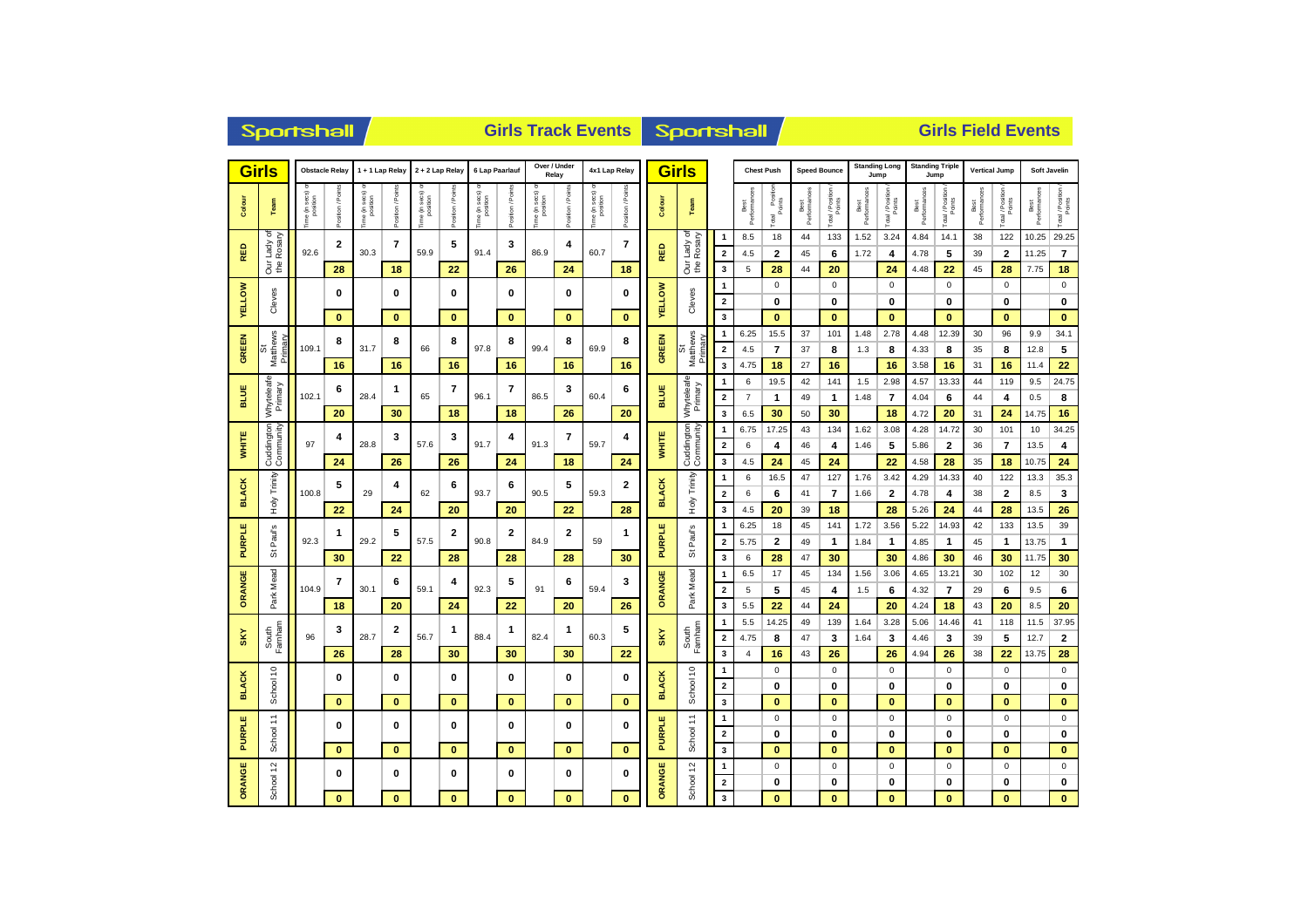| <b>Girls</b>                            |                         | <b>Obstacle Relay</b>      |            | 1 + 1 Lap Relay          |                 | 2 + 2 Lap Relay                   |                 | 6 Lap Paarlauf           |                  | Over / Under<br>Relay    |                 | 4x1 Lap Relay                        |                   |                       | <b>Girls</b>              |                              |                      | <b>Chest Push</b>             |                      | <b>Speed Bounce</b>          | <b>Standing Long</b><br>Jump |                  | <b>Standing Triple</b><br>Jump |                            | <b>Vertical Jump</b> |                         | Soft Javelin         |                              |
|-----------------------------------------|-------------------------|----------------------------|------------|--------------------------|-----------------|-----------------------------------|-----------------|--------------------------|------------------|--------------------------|-----------------|--------------------------------------|-------------------|-----------------------|---------------------------|------------------------------|----------------------|-------------------------------|----------------------|------------------------------|------------------------------|------------------|--------------------------------|----------------------------|----------------------|-------------------------|----------------------|------------------------------|
| Colour                                  | Team                    | a (in secs) or<br>position | tion / Poi | ie (in secs)<br>position | osition / Point | sec <sub>S</sub><br>position<br>€ | asition / Point | ie (in secs)<br>position | Position / Point | ie (in secs)<br>position | Position / Poir | e (in secs) «<br>position<br>ime (in | Position / Points | Colour                | Team                      |                              | Performances<br>Best | l Position<br>Points<br>Total | Best<br>Performances | Total / Position /<br>Points | Best<br>Performances         | Total / Position | Performances<br>Best           | Total / Position<br>Points | Best<br>Performances | Total / Position        | Best<br>Performances | Total / Position /<br>Points |
|                                         | ৳                       |                            |            |                          |                 |                                   | 5               |                          |                  |                          |                 |                                      | 7                 |                       |                           | 1                            | 8.5                  | 18                            | 44                   | 133                          | 1.52                         | 3.24             | 4.84                           | 14.1                       | 38                   | 122                     | 10.25                | 29.25                        |
| RED                                     | · Lady of<br>Rosary     | 92.6                       | 2          | 30.3                     | 7               | 59.9                              |                 | 91.4                     | 3                | 86.9                     | 4               | 60.7                                 |                   | RED                   | Our Lady of<br>the Rosary | $\overline{\mathbf{2}}$      | 4.5                  | 2                             | 45                   | 6                            | 1.72                         | 4                | 4.78                           | 5                          | 39                   | 2                       | 11.25                | $\overline{7}$               |
|                                         | ă<br>the                |                            | 28         |                          | 18              |                                   | 22              |                          | 26               |                          | 24              |                                      | 18                |                       |                           | 3                            | 5                    | 28                            | 44                   | 20                           |                              | 24               | 4.48                           | 22                         | 45                   | 28                      | 7.75                 | 18                           |
|                                         |                         |                            | 0          |                          | 0               |                                   | 0               |                          | 0                |                          | 0               |                                      | 0                 |                       |                           | 1                            |                      | $\mathsf 0$                   |                      | $\mathbf 0$                  |                              | $\mathbf 0$      |                                | $\mathbf 0$                |                      | $\mathbf 0$             |                      | $\pmb{0}$                    |
| <b>ELLOW</b>                            | Cleves                  |                            |            |                          |                 |                                   |                 |                          |                  |                          |                 |                                      |                   | <b>ELLOW</b>          | Cleves                    | $\mathbf{2}$                 |                      | 0                             |                      | 0                            |                              | 0                |                                | 0                          |                      | 0                       |                      | 0                            |
| >                                       |                         |                            | $\bf{0}$   |                          | $\bf{0}$        |                                   | $\mathbf{0}$    |                          | $\bf{0}$         |                          | $\bf{0}$        |                                      | $\bf{0}$          | ≻                     |                           | 3                            |                      | $\bf{0}$                      |                      | $\bf{0}$                     |                              | $\bf{0}$         |                                | $\bf{0}$                   |                      | $\bf{0}$                |                      | $\bf{0}$                     |
|                                         |                         | 109.1                      | 8          |                          | 8               |                                   | 8               |                          | 8                |                          | 8               |                                      | 8                 |                       |                           | 1                            | 6.25                 | 15.5                          | 37                   | 101                          | 1.48                         | 2.78             | 4.48                           | 12.39                      | 30                   | 96                      | 9.9                  | 34.1                         |
| GREEN                                   | Matthews<br>imary<br>55 |                            |            | 31.7                     | 66              |                                   | 97.8            |                          | 99.4             |                          | 69.9            |                                      | <b>GREEN</b>      | Matthews<br>mary<br>ŏ | $\overline{\mathbf{2}}$   | 4.5                          | 7                    | 37                            | 8                    | 1.3                          | 8                            | 4.33             | 8                              | 35                         | 8                    | 12.8                    | 5                    |                              |
|                                         |                         |                            | 16         |                          | 16              |                                   | 16              |                          | 16               |                          | 16              |                                      | 16                |                       |                           | 3                            | 4.75                 | 18                            | 27                   | 16                           |                              | 16               | 3.58                           | 16                         | 31                   | 16                      | 11.4                 | 22                           |
|                                         | Whyteleafe              |                            | 6          |                          | 1<br>28.4       | 65                                | 7               |                          | 7                |                          | 3               |                                      | 6                 |                       |                           | 1                            | 6                    | 19.5                          | 42                   | 141                          | 1.5                          | 2.98             | 4.57                           | 13.33                      | 44                   | 119                     | 9.5                  | 24.75                        |
| BLUE                                    | Primary                 | 102.1                      |            |                          |                 |                                   |                 | 96.1                     |                  | 86.5                     |                 | 60.4                                 |                   | BLUE                  | Whyteleafe<br>Primary     | $\overline{\mathbf{2}}$      | $\overline{7}$       | 1                             | 49                   | $\mathbf{1}$                 | 1.48                         | 7                | 4.04                           | 6                          | 44                   | 4                       | 0.5                  | 8                            |
|                                         |                         |                            | 20         |                          | 30              |                                   | 18              |                          | 18               |                          | 26              |                                      | 20                |                       |                           | 3                            | 6.5                  | 30                            | 50                   | 30                           |                              | 18               | 4.72                           | 20                         | 31                   | 24                      | 14.75                | 16                           |
| Cuddington<br>Community<br><b>WHITE</b> |                         |                            | 4          |                          | 3               |                                   | 3               |                          | 4                |                          | 7               |                                      | 4                 |                       | Cuddington<br>Community   | $\mathbf{1}$                 | 6.75                 | 17.25                         | 43                   | 134                          | 1.62                         | 3.08             | 4.28                           | 14.72                      | 30                   | 101                     | 10                   | 34.25                        |
|                                         |                         | 97                         |            | 28.8                     |                 | 57.6                              |                 | 91.7                     |                  | 91.3                     |                 | 59.7                                 |                   | <b>WHITE</b>          |                           | $\overline{\mathbf{2}}$      | 6                    | 4                             | 46                   | 4                            | 1.46                         | 5                | 5.86                           | $\mathbf{2}$               | 36                   | $\overline{\mathbf{r}}$ | 13.5                 | 4                            |
|                                         |                         |                            | 24         |                          | 26              |                                   | 26              |                          | 24               |                          | 18              |                                      | 24                |                       |                           | 3                            | 4.5                  | 24                            | 45                   | 24                           |                              | 22               | 4.58                           | 28                         | 35                   | 18                      | 10.75                | 24                           |
|                                         | Trinity                 |                            | 5          |                          | 4               |                                   | 6               |                          | 6                |                          | 5               |                                      | 2                 |                       | Trinity                   | 1                            | 6                    | 16.5                          | 47                   | 127                          | 1.76                         | 3.42             | 4.29                           | 14.33                      | 40                   | 122                     | 13.3                 | 35.3                         |
| <b>BLACK</b>                            | $\frac{\lambda}{2}$     | 100.8                      |            | 29                       |                 | 62                                |                 | 93.7                     |                  | 90.5                     |                 | 59.3                                 |                   | <b>BLACK</b>          | <b>Аон</b>                | $\mathbf 2$                  | 6                    | 6                             | 41                   | 7                            | 1.66                         | $\mathbf{2}$     | 4.78                           | 4                          | 38                   | $\mathbf{2}$            | 8.5                  | 3                            |
|                                         |                         |                            | 22         |                          | 24              |                                   | 20              |                          | 20               |                          | 22              |                                      | 28                |                       |                           | 3                            | 4.5                  | 20                            | 39                   | 18                           |                              | 28               | 5.26                           | 24                         | 44                   | 28                      | 13.5                 | 26                           |
|                                         | Paul's                  |                            | 1          | 5                        |                 |                                   | 2               |                          | 2                |                          | 2               |                                      | 1                 |                       | Paul's                    | $\mathbf{1}$                 | 6.25                 | 18                            | 45                   | 141                          | 1.72                         | 3.56             | 5.22                           | 14.93                      | 42                   | 133                     | 13.5                 | 39                           |
| <b>PURPLE</b>                           | ö                       | 92.3                       |            | 29.2                     |                 | 57.5                              |                 | 90.8                     |                  | 84.9                     |                 | 59                                   |                   | <b>PURPLE</b>         | ö                         | $\overline{\mathbf{2}}$      | 5.75                 | $\mathbf{2}$                  | 49                   | $\mathbf{1}$                 | 1.84                         | $\mathbf{1}$     | 4.85                           | $\mathbf{1}$               | 45                   | 1                       | 13.75                | $\mathbf{1}$                 |
|                                         |                         |                            | 30         | 22                       |                 | 28                                |                 | 28                       |                  | 28                       |                 | 30                                   |                   |                       | 3                         | 6                            | 28                   | 47                            | 30                   |                              | 30                           | 4.86             | 30                             | 46                         | 30                   | 11.75                   | 30                   |                              |
| ORANGE                                  | Park Mead               |                            | 7          |                          | 6               | 59.1                              | 4               |                          | 5                | 91                       | 6               | 59.4                                 | 3                 | ORANGE                | Park Mead                 | $\mathbf{1}$                 | 6.5                  | 17                            | 45                   | 134                          | 1.56                         | 3.06             | 4.65                           | 13.21                      | 30                   | 102                     | 12                   | $30\,$                       |
|                                         |                         | 104.9                      |            | 30.1                     |                 |                                   |                 | 92.3                     |                  |                          |                 |                                      |                   |                       |                           | $\overline{\mathbf{2}}$      | 5                    | 5                             | 45                   | 4                            | 1.5                          | 6                | 4.32                           | $\overline{7}$             | 29                   | 6                       | 9.5                  | 6                            |
|                                         |                         |                            | 18         |                          | 20              |                                   | 24              |                          | 22               |                          | 20              |                                      | 26                |                       |                           | 3                            | 5.5                  | 22                            | 44                   | 24                           |                              | 20               | 4.24                           | 18                         | 43                   | 20                      | 8.5                  | 20                           |
|                                         | South<br>Farnham        |                            | 3          |                          | $\mathbf{2}$    |                                   | 1               |                          | 1                |                          | 1               |                                      | 5                 |                       |                           | $\mathbf{1}$                 | 5.5                  | 14.25                         | 49                   | 139                          | 1.64                         | 3.28             | 5.06                           | 14.46                      | 41                   | 118                     | 11.5                 | 37.95                        |
| <b>SKY</b>                              |                         | 96                         |            | 28.7                     |                 | 56.7                              |                 | 88.4                     |                  | 82.4                     |                 | 60.3                                 |                   | <b>SKY</b>            | Farnham<br>South          | $\overline{\mathbf{2}}$      | 4.75                 | 8                             | 47                   | 3                            | 1.64                         | 3                | 4.46                           | 3                          | 39                   | 5                       | 12.7                 | $\bf{2}$                     |
|                                         |                         |                            | 26         |                          | 28              |                                   | 30              |                          | 30               |                          | 30              |                                      | 22                |                       |                           | 3                            | $\overline{4}$       | 16                            | 43                   | 26                           |                              | 26               | 4.94                           | 26                         | 38                   | 22                      | 13.75                | 28                           |
|                                         | \$                      |                            | 0          |                          | 0               |                                   | 0               |                          | 0                |                          | 0               |                                      | $\mathbf 0$       |                       | $\tilde{c}$               | $\mathbf{1}$                 |                      | $\mathsf 0$                   |                      | $\mathbf 0$                  |                              | $\mathsf 0$      |                                | $\mathbf 0$                |                      | $\mathbf 0$             |                      | $\mathbf 0$                  |
| <b>BLACK</b>                            | School                  |                            |            |                          |                 |                                   |                 |                          |                  |                          |                 |                                      |                   | <b>BLACK</b>          | School                    | $\mathbf{2}$                 |                      | 0                             |                      | $\mathbf 0$                  |                              | $\mathbf 0$      |                                | 0                          |                      | 0                       |                      | 0                            |
|                                         |                         |                            | $\bf{0}$   |                          | $\bf{0}$        |                                   | $\bf{0}$        |                          | $\bf{0}$         |                          | $\bf{0}$        |                                      | $\bf{0}$          |                       |                           | 3                            |                      | $\bf{0}$                      |                      | $\bf{0}$                     |                              | $\bf{0}$         |                                | $\bf{0}$                   |                      | $\bf{0}$                |                      | 0                            |
| ш<br><b>PURPL</b>                       | Ξ                       |                            | 0          |                          | 0               |                                   | 0               |                          | 0                |                          | 0               |                                      | $\bf{0}$          |                       | ÷                         | 1                            |                      | $\mathbf 0$                   |                      | $\mathbf 0$                  |                              | $\mathbf 0$      |                                | $\mathbf 0$                |                      | 0                       |                      | $\mathsf 0$                  |
|                                         | School                  |                            |            |                          |                 |                                   |                 |                          |                  |                          |                 |                                      | <b>PURPLE</b>     | School                | $\overline{\mathbf{2}}$   |                              | 0                    |                               | $\mathbf{0}$         |                              | $\bf{0}$                     |                  | $\bf{0}$                       |                            | 0                    |                         | 0                    |                              |
|                                         |                         |                            | $\bf{0}$   |                          | $\bf{0}$        |                                   | $\bf{0}$        |                          | $\bf{0}$         |                          | $\mathbf{0}$    |                                      | $\bf{0}$          |                       |                           | 3                            |                      | $\bf{0}$<br>$\mathsf 0$       |                      | $\bf{0}$                     |                              | $\bf{0}$         |                                | $\bf{0}$                   |                      | $\bf{0}$<br>$\mathbf 0$ |                      | $\bf{0}$<br>$\mathsf 0$      |
|                                         |                         |                            | 0          |                          | 0               |                                   | 0               |                          | 0                |                          | 0               |                                      | 0                 |                       |                           | $\mathbf{1}$<br>$\mathbf{2}$ |                      | 0                             |                      | $\pmb{0}$<br>0               |                              | $\mathsf 0$<br>0 |                                | $\mathbf 0$<br>0           |                      | 0                       |                      | 0                            |
| ORANGE                                  | School 12               |                            | $\bf{0}$   |                          | $\bf{0}$        |                                   | $\bf{0}$        |                          | $\bf{0}$         |                          | $\bf{0}$        |                                      | $\mathbf{0}$      | ORANGE                | School 12                 | $\mathbf 3$                  |                      | $\bf{0}$                      |                      | $\bf{0}$                     |                              | $\bf{0}$         |                                | $\bf{0}$                   |                      | $\bf{0}$                |                      | $\bf{0}$                     |
|                                         |                         |                            |            |                          |                 |                                   |                 |                          |                  |                          |                 |                                      |                   |                       |                           |                              |                      |                               |                      |                              |                              |                  |                                |                            |                      |                         |                      |                              |

Sportshall

**Girls Track Events Girls Field Events**